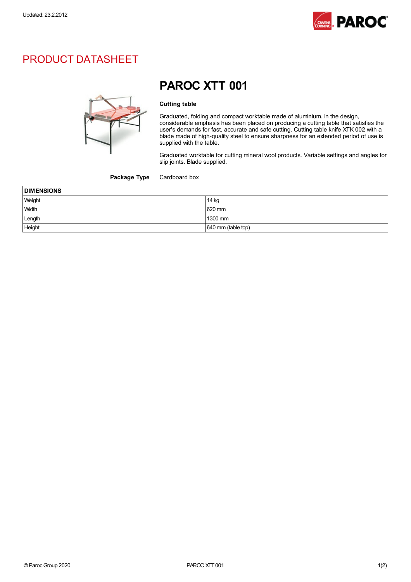

## PRODUCT DATASHEET



## PAROC XTT 001

## Cutting table

Graduated, folding and compact worktable made of aluminium. In the design, considerable emphasis has been placed on producing a cutting table that satisfies the user's demands for fast, accurate and safe cutting. Cutting table knife XTK 002 with a blade made of high-quality steel to ensure sharpness for an extended period of use is supplied with the table.

Graduated worktable for cutting mineral wool products. Variable settings and angles for slip joints. Blade supplied.

Package Type Cardboard box

| <b>DIMENSIONS</b> |                    |
|-------------------|--------------------|
| Weight            | 14 kg              |
| Width             | 620 mm             |
| Length            | 1300 mm            |
| Height            | 640 mm (table top) |